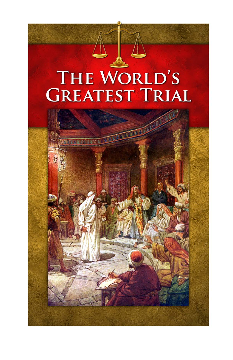# THE WORLD'S<br>GREATEST TRIAL

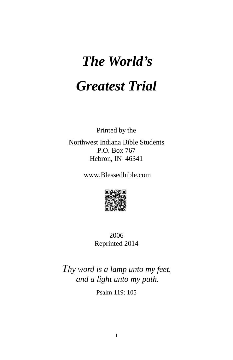# *The World's Greatest Trial*

Printed by the

Northwest Indiana Bible Students P.O. Box 767 Hebron, IN 46341

www.Blessedbible.com



2006 Reprinted 2014

*Thy word is a lamp unto my feet, and a light unto my path.*

Psalm 119: 105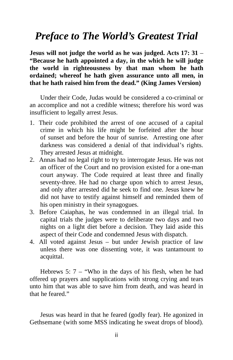# *Preface to The World's Greatest Trial*

**Jesus will not judge the world as he was judged. Acts 17: 31** – **"Because he hath appointed a day, in the which he will judge the world in righteousness by that man whom he hath ordained; whereof he hath given assurance unto all men, in that he hath raised him from the dead." (King James Version)**

Under their Code, Judas would be considered a co-criminal or an accomplice and not a credible witness; therefore his word was insufficient to legally arrest Jesus.

- 1. Their code prohibited the arrest of one accused of a capital crime in which his life might be forfeited after the hour of sunset and before the hour of sunrise. Arresting one after darkness was considered a denial of that individual's rights. They arrested Jesus at midnight.
- 2. Annas had no legal right to try to interrogate Jesus. He was not an officer of the Court and no provision existed for a one-man court anyway. The Code required at least three and finally seventy-three. He had no charge upon which to arrest Jesus, and only after arrested did he seek to find one. Jesus knew he did not have to testify against himself and reminded them of his open ministry in their synagogues.
- 3. Before Caiaphas, he was condemned in an illegal trial. In capital trials the judges were to deliberate two days and two nights on a light diet before a decision. They laid aside this aspect of their Code and condemned Jesus with dispatch.
- 4. All voted against Jesus but under Jewish practice of law unless there was one dissenting vote, it was tantamount to acquittal.

Hebrews 5: 7 – "Who in the days of his flesh, when he had offered up prayers and supplications with strong crying and tears unto him that was able to save him from death, and was heard in that he feared."

Jesus was heard in that he feared (godly fear). He agonized in Gethsemane (with some MSS indicating he sweat drops of blood).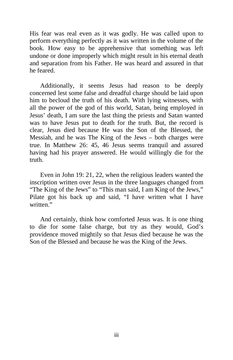His fear was real even as it was godly. He was called upon to perform everything perfectly as it was written in the volume of the book. How easy to be apprehensive that something was left undone or done improperly which might result in his eternal death and separation from his Father. He was heard and assured in that he feared.

Additionally, it seems Jesus had reason to be deeply concerned lest some false and dreadful charge should be laid upon him to becloud the truth of his death. With lying witnesses, with all the power of the god of this world, Satan, being employed in Jesus' death, I am sure the last thing the priests and Satan wanted was to have Jesus put to death for the truth. But, the record is clear, Jesus died because He was the Son of the Blessed, the Messiah, and he was The King of the Jews – both charges were true. In Matthew 26: 45, 46 Jesus seems tranquil and assured having had his prayer answered. He would willingly die for the truth.

Even in John 19: 21, 22, when the religious leaders wanted the inscription written over Jesus in the three languages changed from "The King of the Jews" to "This man said, I am King of the Jews," Pilate got his back up and said, "I have written what I have written<sup>"</sup>

And certainly, think how comforted Jesus was. It is one thing to die for some false charge, but try as they would, God's providence moved mightily so that Jesus died because he was the Son of the Blessed and because he was the King of the Jews.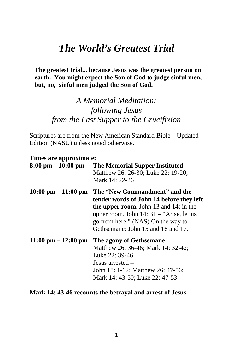# *The World's Greatest Trial*

 **The greatest trial... because Jesus was the greatest person on earth. You might expect the Son of God to judge sinful men, but, no, sinful men judged the Son of God.**

## *A Memorial Meditation: following Jesus from the Last Supper to the Crucifixion*

Scriptures are from the New American Standard Bible – Updated Edition (NASU) unless noted otherwise.

| Times are approximate:                |                                                                                                                                                                                                                                                     |
|---------------------------------------|-----------------------------------------------------------------------------------------------------------------------------------------------------------------------------------------------------------------------------------------------------|
| $8:00 \text{ pm} - 10:00 \text{ pm}$  | <b>The Memorial Supper Instituted</b><br>Matthew 26: 26-30; Luke 22: 19-20;<br>Mark 14: 22-26                                                                                                                                                       |
| $10:00 \text{ pm} - 11:00 \text{ pm}$ | The "New Commandment" and the<br>tender words of John 14 before they left<br><b>the upper room.</b> John 13 and 14: in the<br>upper room. John $14:31$ – "Arise, let us<br>go from here." (NAS) On the way to<br>Gethsemane: John 15 and 16 and 17. |
| $11:00 \text{ pm} - 12:00 \text{ pm}$ | The agony of Gethsemane<br>Matthew 26: 36-46; Mark 14: 32-42;<br>Luke 22: 39-46.<br>Jesus arrested –<br>John 18: 1-12; Matthew 26: 47-56;<br>Mark 14: 43-50; Luke 22: 47-53                                                                         |

#### **Mark 14: 43-46 recounts the betrayal and arrest of Jesus.**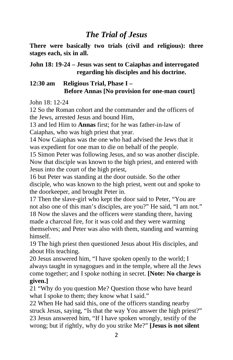### *The Trial of Jesus*

**There were basically two trials (civil and religious): three stages each, six in all.**

#### **John 18: 19-24 – Jesus was sent to Caiaphas and interrogated regarding his disciples and his doctrine.**

#### **12:30 am Religious Trial, Phase I – Before Annas [No provision for one-man court]**

John 18: 12-24

12 So the Roman cohort and the commander and the officers of the Jews, arrested Jesus and bound Him,

13 and led Him to **Annas** first; for he was father-in-law of Caiaphas, who was high priest that year.

14 Now Caiaphas was the one who had advised the Jews that it was expedient for one man to die on behalf of the people.

15 Simon Peter was following Jesus, and so was another disciple. Now that disciple was known to the high priest, and entered with Jesus into the court of the high priest,

16 but Peter was standing at the door outside. So the other disciple, who was known to the high priest, went out and spoke to the doorkeeper, and brought Peter in.

17 Then the slave-girl who kept the door said to Peter, "You are not also one of this man's disciples, are you?" He said, "I am not." 18 Now the slaves and the officers were standing there, having made a charcoal fire, for it was cold and they were warming themselves; and Peter was also with them, standing and warming himself.

19 The high priest then questioned Jesus about His disciples, and about His teaching.

20 Jesus answered him, "I have spoken openly to the world; I always taught in synagogues and in the temple, where all the Jews come together; and I spoke nothing in secret. **[Note: No charge is given.]**

21 "Why do you question Me? Question those who have heard what I spoke to them; they know what I said."

22 When He had said this, one of the officers standing nearby struck Jesus, saying, "Is that the way You answer the high priest?" 23 Jesus answered him, "If I have spoken wrongly, testify of the wrong; but if rightly, why do you strike Me?" **[Jesus is not silent**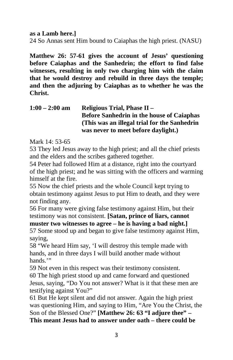**as a Lamb here.]**

24 So Annas sent Him bound to Caiaphas the high priest. (NASU)

**Matthew 26: 57-61 gives the account of Jesus' questioning before Caiaphas and the Sanhedrin; the effort to find false witnesses, resulting in only two charging him with the claim that he would destroy and rebuild in three days the temple; and then the adjuring by Caiaphas as to whether he was the Christ.**

| $1:00 - 2:00$ am | Religious Trial, Phase II -                      |
|------------------|--------------------------------------------------|
|                  | <b>Before Sanhedrin in the house of Caiaphas</b> |
|                  | (This was an illegal trial for the Sanhedrin)    |
|                  | was never to meet before daylight.)              |

Mark 14: 53-65

53 They led Jesus away to the high priest; and all the chief priests and the elders and the scribes gathered together.

54 Peter had followed Him at a distance, right into the courtyard of the high priest; and he was sitting with the officers and warming himself at the fire.

55 Now the chief priests and the whole Council kept trying to obtain testimony against Jesus to put Him to death, and they were not finding any.

56 For many were giving false testimony against Him, but their testimony was not consistent. **[Satan, prince of liars, cannot** 

**muster two witnesses to agree – he is having a bad night.]** 57 Some stood up and began to give false testimony against Him, saying,

58 "We heard Him say, 'I will destroy this temple made with hands, and in three days I will build another made without hands."

59 Not even in this respect was their testimony consistent. 60 The high priest stood up and came forward and questioned Jesus, saying, "Do You not answer? What is it that these men are testifying against You?"

61 But He kept silent and did not answer. Again the high priest was questioning Him, and saying to Him, "Are You the Christ, the Son of the Blessed One?" **[Matthew 26: 63 "I adjure thee" – This meant Jesus had to answer under oath – there could be**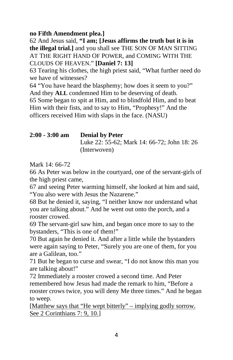#### **no Fifth Amendment plea.]**

62 And Jesus said, **"I am; [Jesus affirms the truth but it is in the illegal trial.]** and you shall see THE SON OF MAN SITTING AT THE RIGHT HAND OF POWER, and COMING WITH THE CLOUDS OF HEAVEN." **[Daniel 7: 13]**

63 Tearing his clothes, the high priest said, "What further need do we have of witnesses?

64 "You have heard the blasphemy; how does it seem to you?" And they **ALL** condemned Him to be deserving of death. 65 Some began to spit at Him, and to blindfold Him, and to beat Him with their fists, and to say to Him, "Prophesy!" And the officers received Him with slaps in the face. (NASU)

#### **2:00 - 3:00 am Denial by Peter** Luke 22: 55-62; Mark 14: 66-72; John 18: 26 (Interwoven)

Mark 14: 66-72

66 As Peter was below in the courtyard, one of the servant-girls of the high priest came,

67 and seeing Peter warming himself, she looked at him and said, "You also were with Jesus the Nazarene."

68 But he denied it, saying, "I neither know nor understand what you are talking about." And he went out onto the porch, and a rooster crowed.

69 The servant-girl saw him, and began once more to say to the bystanders, "This is one of them!"

70 But again he denied it. And after a little while the bystanders were again saying to Peter, "Surely you are one of them, for you are a Galilean, too."

71 But he began to curse and swear, "I do not know this man you are talking about!"

72 Immediately a rooster crowed a second time. And Peter remembered how Jesus had made the remark to him, "Before a rooster crows twice, you will deny Me three times." And he began to weep.

[Matthew says that "He wept bitterly" – implying godly sorrow. See 2 Corinthians 7: 9, 10.]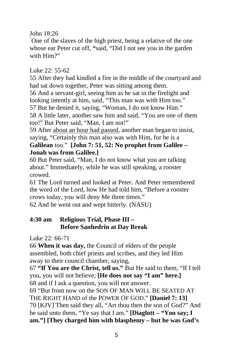John 18:26

" One of the slaves of the high priest, being a relative of the one whose ear Peter cut off, \*said, "Did I not see you in the garden with Him?"

#### Luke 22: 55-62

55 After they had kindled a fire in the middle of the courtyard and had sat down together, Peter was sitting among them.

56 And a servant-girl, seeing him as he sat in the firelight and looking intently at him, said, "This man was with Him too."

57 But he denied it, saying, "Woman, I do not know Him." 58 A little later, another saw him and said, "You are one of them too!" But Peter said, "Man, I am not!"

59 After about an hour had passed, another man began to insist, saying, "Certainly this man also was with Him, for he is a **Galilean** too." **[John 7: 51, 52: No prophet from Galilee – Jonah was from Galilee.]**

60 But Peter said, "Man, I do not know what you are talking about." Immediately, while he was still speaking, a rooster crowed.

61 The Lord turned and looked at Peter. And Peter remembered the word of the Lord, how He had told him, "Before a rooster crows today, you will deny Me three times."

62 And he went out and wept bitterly. (NASU)

#### **4:30 am Religious Trial, Phase III – Before Sanhedrin at Day Break**

Luke 22: 66-71

66 **When it was day,** the Council of elders of the people assembled, both chief priests and scribes, and they led Him away to their council chamber, saying,

67 **"If You are the Christ, tell us."** But He said to them, "If I tell you, you will not believe; **[He does not say "I am" here.]** 68 and if I ask a question, you will not answer.

69 "But from now on the SON OF MAN WILL BE SEATED AT THE RIGHT HAND of the POWER OF GOD." **[Daniel 7: 13]** 70 [KJV] Then said they all, "Art thou then the son of God?" And he said unto them, "Ye say that I am." **[Diaglott – "You say; I am."] [They charged him with blasphemy – but he was God's**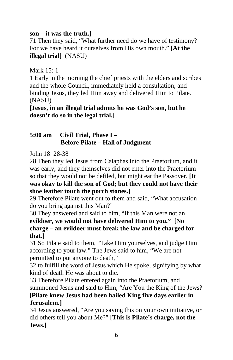#### **son – it was the truth.]**

71 Then they said, "What further need do we have of testimony? For we have heard it ourselves from His own mouth." **[At the illegal trial]** (NASU)

Mark 15: 1

1 Early in the morning the chief priests with the elders and scribes and the whole Council, immediately held a consultation; and binding Jesus, they led Him away and delivered Him to Pilate. (NASU)

**[Jesus, in an illegal trial admits he was God's son, but he doesn't do so in the legal trial.]**

#### **5:00 am Civil Trial, Phase I – Before Pilate – Hall of Judgment**

John 18: 28-38

28 Then they led Jesus from Caiaphas into the Praetorium, and it was early; and they themselves did not enter into the Praetorium so that they would not be defiled, but might eat the Passover. **[It was okay to kill the son of God; but they could not have their shoe leather touch the porch stones.]**

29 Therefore Pilate went out to them and said, "What accusation do you bring against this Man?"

30 They answered and said to him, "If this Man were not an **evildoer, we would not have delivered Him to you." [No charge – an evildoer must break the law and be charged for that.]**

31 So Pilate said to them, "Take Him yourselves, and judge Him according to your law." The Jews said to him, "We are not permitted to put anyone to death,"

32 to fulfill the word of Jesus which He spoke, signifying by what kind of death He was about to die.

33 Therefore Pilate entered again into the Praetorium, and summoned Jesus and said to Him, "Are You the King of the Jews? **[Pilate knew Jesus had been hailed King five days earlier in Jerusalem.]** 

34 Jesus answered, "Are you saying this on your own initiative, or did others tell you about Me?" **[This is Pilate's charge, not the Jews.]**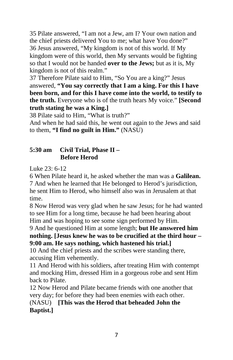35 Pilate answered, "I am not a Jew, am I? Your own nation and the chief priests delivered You to me; what have You done?" 36 Jesus answered, "My kingdom is not of this world. If My kingdom were of this world, then My servants would be fighting so that I would not be handed **over to the Jews;** but as it is, My kingdom is not of this realm."

37 Therefore Pilate said to Him, "So You are a king?" Jesus answered, **"You say correctly that I am a king. For this I have been born, and for this I have come into the world, to testify to the truth.** Everyone who is of the truth hears My voice." **[Second truth stating he was a King.]**

38 Pilate said to Him, "What is truth?"

And when he had said this, he went out again to the Jews and said to them, **"I find no guilt in Him."** (NASU)

#### **5:30 am Civil Trial, Phase II – Before Herod**

Luke 23: 6-12

6 When Pilate heard it, he asked whether the man was a **Galilean.** 7 And when he learned that He belonged to Herod's jurisdiction, he sent Him to Herod, who himself also was in Jerusalem at that time.

8 Now Herod was very glad when he saw Jesus; for he had wanted to see Him for a long time, because he had been hearing about Him and was hoping to see some sign performed by Him.

9 And he questioned Him at some length; **but He answered him nothing. [Jesus knew he was to be crucified at the third hour – 9:00 am. He says nothing, which hastened his trial.]**

10 And the chief priests and the scribes were standing there, accusing Him vehemently.

11 And Herod with his soldiers, after treating Him with contempt and mocking Him, dressed Him in a gorgeous robe and sent Him back to Pilate.

12 Now Herod and Pilate became friends with one another that very day; for before they had been enemies with each other.

(NASU) **[This was the Herod that beheaded John the Baptist.]**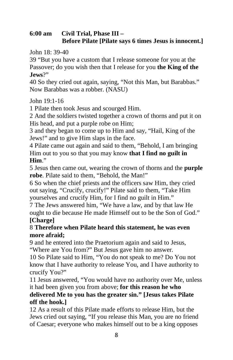#### **6:00 am Civil Trial, Phase III – Before Pilate [Pilate says 6 times Jesus is innocent.]**

John 18: 39-40

39 "But you have a custom that I release someone for you at the Passover; do you wish then that I release for you **the King of the Jews**?"

40 So they cried out again, saying, "Not this Man, but Barabbas." Now Barabbas was a robber. (NASU)

John 19:1-16

1 Pilate then took Jesus and scourged Him.

2 And the soldiers twisted together a crown of thorns and put it on His head, and put a purple robe on Him;

3 and they began to come up to Him and say, "Hail, King of the Jews!" and to give Him slaps in the face.

4 Pilate came out again and said to them, "Behold, I am bringing Him out to you so that you may know **that I find no guilt in Him**."

5 Jesus then came out, wearing the crown of thorns and the **purple robe**. Pilate said to them, "Behold, the Man!"

6 So when the chief priests and the officers saw Him, they cried out saying, "Crucify, crucify!" Pilate said to them, "Take Him yourselves and crucify Him, for I find no guilt in Him."

7 The Jews answered him, "We have a law, and by that law He ought to die because He made Himself out to be the Son of God." **[Charge]**

#### 8 **Therefore when Pilate heard this statement, he was even more afraid;**

9 and he entered into the Praetorium again and said to Jesus, "Where are You from?" But Jesus gave him no answer.

10 So Pilate said to Him, "You do not speak to me? Do You not know that I have authority to release You, and I have authority to crucify You?"

11 Jesus answered, "You would have no authority over Me, unless it had been given you from above; **for this reason he who** 

#### **delivered Me to you has the greater sin." [Jesus takes Pilate off the hook.]**

12 As a result of this Pilate made efforts to release Him, but the Jews cried out saying, "If you release this Man, you are no friend of Caesar; everyone who makes himself out to be a king opposes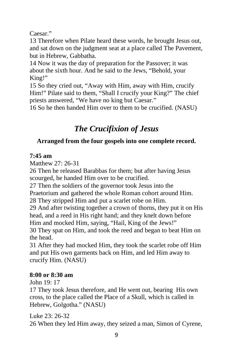Caesar."

13 Therefore when Pilate heard these words, he brought Jesus out, and sat down on the judgment seat at a place called The Pavement, but in Hebrew, Gabbatha.

14 Now it was the day of preparation for the Passover; it was about the sixth hour. And he said to the Jews, "Behold, your King!"

15 So they cried out, "Away with Him, away with Him, crucify Him!" Pilate said to them, "Shall I crucify your King?" The chief priests answered, "We have no king but Caesar."

16 So he then handed Him over to them to be crucified. (NASU)

# *The Crucifixion of Jesus*

#### **Arranged from the four gospels into one complete record.**

#### **7:45 am**

Matthew 27: 26-31

26 Then he released Barabbas for them; but after having Jesus scourged, he handed Him over to be crucified.

27 Then the soldiers of the governor took Jesus into the Praetorium and gathered the whole Roman cohort around Him.

28 They stripped Him and put a scarlet robe on Him.

29 And after twisting together a crown of thorns, they put it on His head, and a reed in His right hand; and they knelt down before Him and mocked Him, saying, "Hail, King of the Jews!"

30 They spat on Him, and took the reed and began to beat Him on the head.

31 After they had mocked Him, they took the scarlet robe off Him and put His own garments back on Him, and led Him away to crucify Him. (NASU)

#### **8:00 or 8:30 am**

John 19: 17

17 They took Jesus therefore, and He went out, bearing His own cross, to the place called the Place of a Skull, which is called in Hebrew, Golgotha." (NASU)

Luke 23: 26-32 26 When they led Him away, they seized a man, Simon of Cyrene,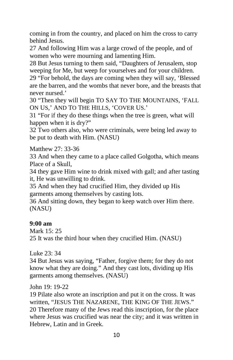coming in from the country, and placed on him the cross to carry behind Jesus.

27 And following Him was a large crowd of the people, and of women who were mourning and lamenting Him.

28 But Jesus turning to them said, "Daughters of Jerusalem, stop weeping for Me, but weep for yourselves and for your children.

29 "For behold, the days are coming when they will say, 'Blessed are the barren, and the wombs that never bore, and the breasts that never nursed.'

30 "Then they will begin TO SAY TO THE MOUNTAINS, 'FALL ON US,' AND TO THE HILLS, 'COVER US.'

31 "For if they do these things when the tree is green, what will happen when it is dry?"

32 Two others also, who were criminals, were being led away to be put to death with Him. (NASU)

Matthew 27: 33-36

33 And when they came to a place called Golgotha, which means Place of a Skull,

34 they gave Him wine to drink mixed with gall; and after tasting it, He was unwilling to drink.

35 And when they had crucified Him, they divided up His garments among themselves by casting lots.

36 And sitting down, they began to keep watch over Him there. (NASU)

#### **9:00 am**

Mark 15: 25

25 It was the third hour when they crucified Him. (NASU)

Luke 23: 34

34 But Jesus was saying, "Father, forgive them; for they do not know what they are doing." And they cast lots, dividing up His garments among themselves. (NASU)

John 19: 19-22

19 Pilate also wrote an inscription and put it on the cross. It was written, "JESUS THE NAZARENE, THE KING OF THE JEWS." 20 Therefore many of the Jews read this inscription, for the place where Jesus was crucified was near the city; and it was written in Hebrew, Latin and in Greek.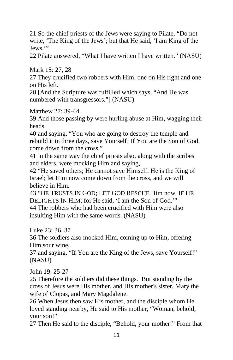21 So the chief priests of the Jews were saying to Pilate, "Do not write, 'The King of the Jews'; but that He said, 'I am King of the Jews."

22 Pilate answered, "What I have written I have written." (NASU)

Mark 15: 27, 28

27 They crucified two robbers with Him, one on His right and one on His left.

28 [And the Scripture was fulfilled which says, "And He was numbered with transgressors."] (NASU)

Matthew 27: 39-44

39 And those passing by were hurling abuse at Him, wagging their heads

40 and saying, "You who are going to destroy the temple and rebuild it in three days, save Yourself! If You are the Son of God, come down from the cross."

41 In the same way the chief priests also, along with the scribes and elders, were mocking Him and saying,

42 "He saved others; He cannot save Himself. He is the King of Israel; let Him now come down from the cross, and we will believe in Him.

43 "HE TRUSTS IN GOD; LET GOD RESCUE Him now, IF HE DELIGHTS IN HIM; for He said, 'I am the Son of God.'" 44 The robbers who had been crucified with Him were also insulting Him with the same words. (NASU)

Luke 23: 36, 37

36 The soldiers also mocked Him, coming up to Him, offering Him sour wine,

37 and saying, "If You are the King of the Jews, save Yourself!" (NASU)

John 19: 25-27

25 Therefore the soldiers did these things. But standing by the cross of Jesus were His mother, and His mother's sister, Mary the wife of Clopas, and Mary Magdalene.

26 When Jesus then saw His mother, and the disciple whom He loved standing nearby, He said to His mother, "Woman, behold, your son!"

27 Then He said to the disciple, "Behold, your mother!" From that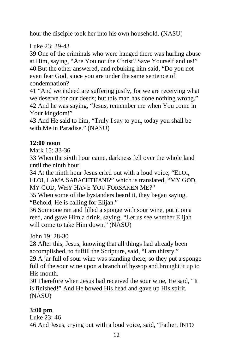hour the disciple took her into his own household. (NASU)

Luke 23: 39-43

39 One of the criminals who were hanged there was hurling abuse at Him, saying, "Are You not the Christ? Save Yourself and us!" 40 But the other answered, and rebuking him said, "Do you not even fear God, since you are under the same sentence of condemnation?

41 "And we indeed are suffering justly, for we are receiving what we deserve for our deeds; but this man has done nothing wrong." 42 And he was saying, "Jesus, remember me when You come in Your kingdom!"

43 And He said to him, "Truly I say to you, today you shall be with Me in Paradise." (NASU)

#### **12:00 noon**

Mark 15: 33-36

33 When the sixth hour came, darkness fell over the whole land until the ninth hour.

34 At the ninth hour Jesus cried out with a loud voice, "ELOI, ELOI, LAMA SABACHTHANI?" which is translated, "MY GOD, MY GOD, WHY HAVE YOU FORSAKEN ME?"

35 When some of the bystanders heard it, they began saying, "Behold, He is calling for Elijah."

36 Someone ran and filled a sponge with sour wine, put it on a reed, and gave Him a drink, saying, "Let us see whether Elijah will come to take Him down." (NASU)

John 19: 28-30

28 After this, Jesus, knowing that all things had already been accomplished, to fulfill the Scripture, said, "I am thirsty."

29 A jar full of sour wine was standing there; so they put a sponge full of the sour wine upon a branch of hyssop and brought it up to His mouth.

30 Therefore when Jesus had received the sour wine, He said, "It is finished!" And He bowed His head and gave up His spirit. (NASU)

#### **3:00 pm**

Luke 23: 46 46 And Jesus, crying out with a loud voice, said, "Father, INTO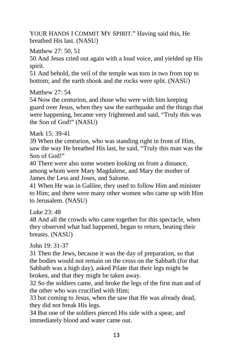YOUR HANDS I COMMIT MY SPIRIT." Having said this, He breathed His last. (NASU)

Matthew 27: 50, 51

50 And Jesus cried out again with a loud voice, and yielded up His spirit.

51 And behold, the veil of the temple was torn in two from top to bottom; and the earth shook and the rocks were split. (NASU)

Matthew 27: 54

54 Now the centurion, and those who were with him keeping guard over Jesus, when they saw the earthquake and the things that were happening, became very frightened and said, "Truly this was the Son of God!" (NASU)

Mark 15: 39-41

39 When the centurion, who was standing right in front of Him, saw the way He breathed His last, he said, "Truly this man was the Son of God!"

40 There were also some women looking on from a distance, among whom were Mary Magdalene, and Mary the mother of James the Less and Joses, and Salome.

41 When He was in Galilee, they used to follow Him and minister to Him; and there were many other women who came up with Him to Jerusalem. (NASU)

Luke  $23 \cdot 48$ 

48 And all the crowds who came together for this spectacle, when they observed what had happened, began to return, beating their breasts. (NASU)

John 19: 31-37

31 Then the Jews, because it was the day of preparation, so that the bodies would not remain on the cross on the Sabbath (for that Sabbath was a high day), asked Pilate that their legs might be broken, and that they might be taken away.

32 So the soldiers came, and broke the legs of the first man and of the other who was crucified with Him;

33 but coming to Jesus, when the saw that He was already dead, they did not break His legs.

34 But one of the soldiers pierced His side with a spear, and immediately blood and water came out.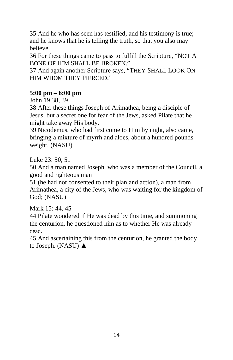35 And he who has seen has testified, and his testimony is true; and he knows that he is telling the truth, so that you also may believe.

36 For these things came to pass to fulfill the Scripture, "NOT A BONE OF HIM SHALL BE BROKEN."

37 And again another Scripture says, "THEY SHALL LOOK ON HIM WHOM THEY PIERCED."

#### **5:00 pm – 6:00 pm**

John 19:38, 39

38 After these things Joseph of Arimathea, being a disciple of Jesus, but a secret one for fear of the Jews, asked Pilate that he might take away His body.

39 Nicodemus, who had first come to Him by night, also came, bringing a mixture of myrrh and aloes, about a hundred pounds weight. (NASU)

Luke 23: 50, 51

50 And a man named Joseph, who was a member of the Council, a good and righteous man

51 (he had not consented to their plan and action), a man from Arimathea, a city of the Jews, who was waiting for the kingdom of God; (NASU)

Mark 15: 44, 45

44 Pilate wondered if He was dead by this time, and summoning the centurion, he questioned him as to whether He was already dead.

45 And ascertaining this from the centurion, he granted the body to Joseph. (NASU) ▲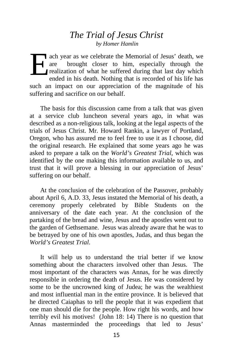#### *The Trial of Jesus Christ by Homer Hamlin*

ach year as we celebrate the Memorial of Jesus' death, we are brought closer to him, especially through the realization of what he suffered during that last day which ended in his death. Nothing that is recorded of his life has such an impact on our appreciation of the magnitude of his suffering and sacrifice on our behalf. E

The basis for this discussion came from a talk that was given at a service club luncheon several years ago, in what was described as a non-religious talk, looking at the legal aspects of the trials of Jesus Christ. Mr. Howard Rankin, a lawyer of Portland, Oregon, who has assured me to feel free to use it as I choose, did the original research. He explained that some years ago he was asked to prepare a talk on the *World's Greatest Trial*, which was identified by the one making this information available to us, and trust that it will prove a blessing in our appreciation of Jesus' suffering on our behalf.

At the conclusion of the celebration of the Passover, probably about April 6, A.D. 33, Jesus instated the Memorial of his death, a ceremony properly celebrated by Bible Students on the anniversary of the date each year. At the conclusion of the partaking of the bread and wine, Jesus and the apostles went out to the garden of Gethsemane. Jesus was already aware that he was to be betrayed by one of his own apostles, Judas, and thus began the *World's Greatest Trial*.

It will help us to understand the trial better if we know something about the characters involved other than Jesus. The most important of the characters was Annas, for he was directly responsible in ordering the death of Jesus. He was considered by some to be the uncrowned king of Judea; he was the wealthiest and most influential man in the entire province. It is believed that he directed Caiaphas to tell the people that it was expedient that one man should die for the people. How right his words, and how terribly evil his motives! (John 18: 14) There is no question that Annas masterminded the proceedings that led to Jesus'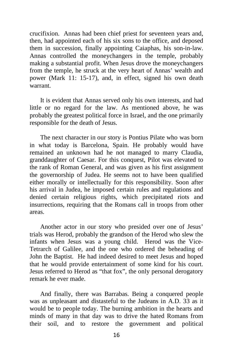crucifixion. Annas had been chief priest for seventeen years and, then, had appointed each of his six sons to the office, and deposed them in succession, finally appointing Caiaphas, his son-in-law. Annas controlled the moneychangers in the temple, probably making a substantial profit. When Jesus drove the moneychangers from the temple, he struck at the very heart of Annas' wealth and power (Mark 11: 15-17), and, in effect, signed his own death warrant.

It is evident that Annas served only his own interests, and had little or no regard for the law. As mentioned above, he was probably the greatest political force in Israel, and the one primarily responsible for the death of Jesus.

The next character in our story is Pontius Pilate who was born in what today is Barcelona, Spain. He probably would have remained an unknown had he not managed to marry Claudia, granddaughter of Caesar. For this conquest, Pilot was elevated to the rank of Roman General, and was given as his first assignment the governorship of Judea. He seems not to have been qualified either morally or intellectually for this responsibility. Soon after his arrival in Judea, he imposed certain rules and regulations and denied certain religious rights, which precipitated riots and insurrections, requiring that the Romans call in troops from other areas.

Another actor in our story who presided over one of Jesus' trials was Herod, probably the grandson of the Herod who slew the infants when Jesus was a young child. Herod was the Vice-Tetrarch of Galilee, and the one who ordered the beheading of John the Baptist. He had indeed desired to meet Jesus and hoped that he would provide entertainment of some kind for his court. Jesus referred to Herod as "that fox", the only personal derogatory remark he ever made.

And finally, there was Barrabas. Being a conquered people was as unpleasant and distasteful to the Judeans in A.D. 33 as it would be to people today. The burning ambition in the hearts and minds of many in that day was to drive the hated Romans from their soil, and to restore the government and political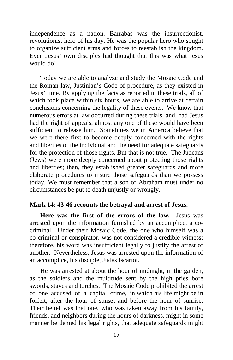independence as a nation. Barrabas was the insurrectionist, revolutionist hero of his day. He was the popular hero who sought to organize sufficient arms and forces to reestablish the kingdom. Even Jesus' own disciples had thought that this was what Jesus would do!

Today we are able to analyze and study the Mosaic Code and the Roman law, Justinian's Code of procedure, as they existed in Jesus' time. By applying the facts as reported in these trials, all of which took place within six hours, we are able to arrive at certain conclusions concerning the legality of these events. We know that numerous errors at law occurred during these trials, and, had Jesus had the right of appeals, almost any one of these would have been sufficient to release him. Sometimes we in America believe that we were there first to become deeply concerned with the rights and liberties of the individual and the need for adequate safeguards for the protection of those rights. But that is not true. The Judeans (Jews) were more deeply concerned about protecting those rights and liberties; then, they established greater safeguards and more elaborate procedures to insure those safeguards than we possess today. We must remember that a son of Abraham must under no circumstances be put to death unjustly or wrongly.

#### **Mark 14: 43-46 recounts the betrayal and arrest of Jesus.**

**Here was the first of the errors of the law.** Jesus was arrested upon the information furnished by an accomplice, a cocriminal. Under their Mosaic Code, the one who himself was a co-criminal or conspirator, was not considered a credible witness; therefore, his word was insufficient legally to justify the arrest of another. Nevertheless, Jesus was arrested upon the information of an accomplice, his disciple, Judas Iscariot.

He was arrested at about the hour of midnight, in the garden, as the soldiers and the multitude sent by the high pries bore swords, staves and torches. The Mosaic Code prohibited the arrest of one accused of a capital crime, in which his life might be in forfeit, after the hour of sunset and before the hour of sunrise. Their belief was that one, who was taken away from his family, friends, and neighbors during the hours of darkness, might in some manner be denied his legal rights, that adequate safeguards might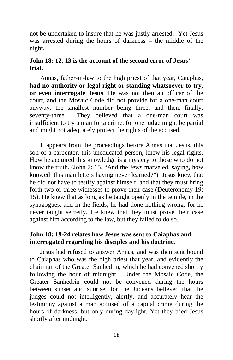not be undertaken to insure that he was justly arrested. Yet Jesus was arrested during the hours of darkness – the middle of the night.

#### **John 18: 12, 13 is the account of the second error of Jesus' trial.**

Annas, father-in-law to the high priest of that year, Caiaphas, **had no authority or legal right or standing whatsoever to try, or even interrogate Jesus**. He was not then an officer of the court, and the Mosaic Code did not provide for a one-man court anyway, the smallest number being three, and then, finally, seventy-three. They believed that a one-man court was insufficient to try a man for a crime, for one judge might be partial and might not adequately protect the rights of the accused.

It appears from the proceedings before Annas that Jesus, this son of a carpenter, this uneducated person, knew his legal rights. How he acquired this knowledge is a mystery to those who do not know the truth. (John 7: 15, "And the Jews marveled, saying, how knoweth this man letters having never learned?") Jesus knew that he did not have to testify against himself, and that they must bring forth two or three witnesses to prove their case (Deuteronomy 19: 15). He knew that as long as he taught openly in the temple, in the synagogues, and in the fields, he had done nothing wrong, for he never taught secretly. He knew that they must prove their case against him according to the law, but they failed to do so.

#### **John 18: 19-24 relates how Jesus was sent to Caiaphas and interrogated regarding his disciples and his doctrine.**

Jesus had refused to answer Annas, and was then sent bound to Caiaphas who was the high priest that year, and evidently the chairman of the Greater Sanhedrin, which he had convened shortly following the hour of midnight. Under the Mosaic Code, the Greater Sanhedrin could not be convened during the hours between sunset and sunrise, for the Judeans believed that the judges could not intelligently, alertly, and accurately hear the testimony against a man accused of a capital crime during the hours of darkness, but only during daylight. Yet they tried Jesus shortly after midnight.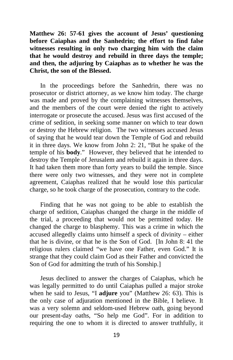**Matthew 26: 57-61 gives the account of Jesus' questioning before Caiaphas and the Sanhedrin; the effort to find false witnesses resulting in only two charging him with the claim that he would destroy and rebuild in three days the temple; and then, the adjuring by Caiaphas as to whether he was the Christ, the son of the Blessed.**

In the proceedings before the Sanhedrin, there was no prosecutor or district attorney, as we know him today. The charge was made and proved by the complaining witnesses themselves, and the members of the court were denied the right to actively interrogate or prosecute the accused. Jesus was first accused of the crime of sedition, in seeking some manner on which to tear down or destroy the Hebrew religion. The two witnesses accused Jesus of saying that he would tear down the Temple of God and rebuild it in three days. We know from John 2: 21, "But he spake of the temple of his **body**." However, they believed that he intended to destroy the Temple of Jerusalem and rebuild it again in three days. It had taken them more than forty years to build the temple. Since there were only two witnesses, and they were not in complete agreement, Caiaphas realized that he would lose this particular charge, so he took charge of the prosecution, contrary to the code.

Finding that he was not going to be able to establish the charge of sedition, Caiaphas changed the charge in the middle of the trial, a proceeding that would not be permitted today. He changed the charge to blasphemy. This was a crime in which the accused allegedly claims unto himself a speck of divinity – either that he is divine, or that he is the Son of God. [In John 8: 41 the religious rulers claimed "we have one Father, even God." It is strange that they could claim God as their Father and convicted the Son of God for admitting the truth of his Sonship.]

Jesus declined to answer the charges of Caiaphas, which he was legally permitted to do until Caiaphas pulled a major stroke when he said to Jesus, "I **adjure** you" (Matthew 26: 63). This is the only case of adjuration mentioned in the Bible, I believe. It was a very solemn and seldom-used Hebrew oath, going beyond our present-day oaths, "So help me God". For in addition to requiring the one to whom it is directed to answer truthfully, it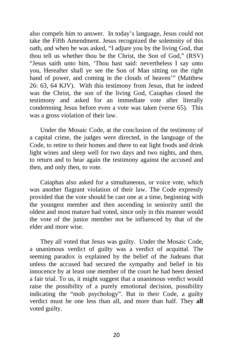also compels him to answer. In today's language, Jesus could not take the Fifth Amendment. Jesus recognized the solemnity of this oath, and when he was asked, "I adjure you by the living God, that thou tell us whether thou be the Christ, the Son of God," (RSV) "Jesus saith unto him, 'Thou hast said: nevertheless I say unto you, Hereafter shall ye see the Son of Man sitting on the right hand of power, and coming in the clouds of heaven'" (Matthew 26: 63, 64 KJV). With this testimony from Jesus, that he indeed was the Christ, the son of the living God, Caiaphas closed the testimony and asked for an immediate vote after literally condemning Jesus before even a vote was taken (verse 65). This was a gross violation of their law.

Under the Mosaic Code, at the conclusion of the testimony of a capital crime, the judges were directed, in the language of the Code, to retire to their homes and there to eat light foods and drink light wines and sleep well for two days and two nights, and then, to return and to hear again the testimony against the accused and then, and only then, to vote.

Caiaphas also asked for a simultaneous, or voice vote, which was another flagrant violation of their law. The Code expressly provided that the vote should be cast one at a time, beginning with the youngest member and then ascending in seniority until the oldest and most mature had voted, since only in this manner would the vote of the junior member not be influenced by that of the elder and more wise.

They all voted that Jesus was guilty. Under the Mosaic Code, a unanimous verdict of guilty was a verdict of acquittal. The seeming paradox is explained by the belief of the Judeans that unless the accused had secured the sympathy and belief in his innocence by at least one member of the court he had been denied a fair trial. To us, it might suggest that a unanimous verdict would raise the possibility of a purely emotional decision, possibility indicating the "mob psychology". But in their Code, a guilty verdict must be one less than all, and more than half. They **all** voted guilty.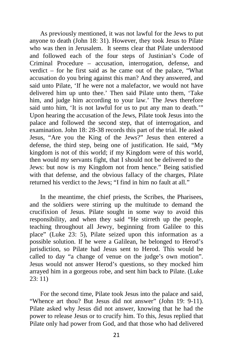As previously mentioned, it was not lawful for the Jews to put anyone to death (John 18: 31). However, they took Jesus to Pilate who was then in Jerusalem. It seems clear that Pilate understood and followed each of the four steps of Justinian's Code of Criminal Procedure – accusation, interrogation, defense, and verdict – for he first said as he came out of the palace, "What accusation do you bring against this man? And they answered, and said unto Pilate, 'If he were not a malefactor, we would not have delivered him up unto thee.' Then said Pilate unto them, 'Take him, and judge him according to your law.' The Jews therefore said unto him, 'It is not lawful for us to put any man to death.'" Upon hearing the accusation of the Jews, Pilate took Jesus into the palace and followed the second step, that of interrogation, and examination. John 18: 28-38 records this part of the trial. He asked Jesus, "Are you the King of the Jews?" Jesus then entered a defense, the third step, being one of justification. He said, "My kingdom is not of this world; if my Kingdom were of this world, then would my servants fight, that I should not be delivered to the Jews: but now is my Kingdom not from hence." Being satisfied with that defense, and the obvious fallacy of the charges, Pilate returned his verdict to the Jews; "I find in him no fault at all."

In the meantime, the chief priests, the Scribes, the Pharisees, and the soldiers were stirring up the multitude to demand the crucifixion of Jesus. Pilate sought in some way to avoid this responsibility, and when they said "He stirreth up the people, teaching throughout all Jewry, beginning from Galilee to this place" (Luke 23: 5), Pilate seized upon this information as a possible solution. If he were a Galilean, he belonged to Herod's jurisdiction, so Pilate had Jesus sent to Herod. This would be called to day "a change of venue on the judge's own motion". Jesus would not answer Herod's questions, so they mocked him arrayed him in a gorgeous robe, and sent him back to Pilate. (Luke 23: 11)

For the second time, Pilate took Jesus into the palace and said, "Whence art thou? But Jesus did not answer" (John 19: 9-11). Pilate asked why Jesus did not answer, knowing that he had the power to release Jesus or to crucify him. To this, Jesus replied that Pilate only had power from God, and that those who had delivered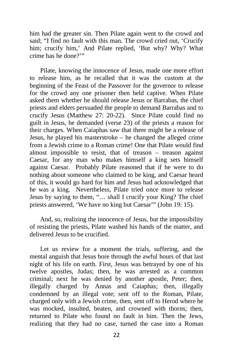him had the greater sin. Then Pilate again went to the crowd and said; "I find no fault with this man. The crowd cried out, 'Crucify him; crucify him,' And Pilate replied, 'But why? Why? What crime has he done?'"

Pilate, knowing the innocence of Jesus, made one more effort to release him, as he recalled that it was the custom at the beginning of the Feast of the Passover for the governor to release for the crowd any one prisoner then held captive. When Pilate asked them whether he should release Jesus or Barrabas, the chief priests and elders persuaded the people to demand Barrabas and to crucify Jesus (Matthew 27: 20-22). Since Pilate could find no guilt in Jesus, he demanded (verse 23) of the priests a reason for their charges. When Caiaphas saw that there might be a release of Jesus, he played his masterstroke – he changed the alleged crime from a Jewish crime to a Roman crime! One that Pilate would find almost impossible to resist, that of treason – treason against Caesar, for any man who makes himself a king sets himself against Caesar. Probably Pilate reasoned that if he were to do nothing about someone who claimed to be king, and Caesar heard of this, it would go hard for him and Jesus had acknowledged that he was a king. Nevertheless, Pilate tried once more to release Jesus by saying to them, "… shall I crucify your King? The chief priests answered, 'We have no king but Caesar'" (John 19: 15).

And, so, realizing the innocence of Jesus, but the impossibility of resisting the priests, Pilate washed his hands of the matter, and delivered Jesus to be crucified.

Let us review for a moment the trials, suffering, and the mental anguish that Jesus bore through the awful hours of that last night of his life on earth. First, Jesus was betrayed by one of his twelve apostles, Judas; then, he was arrested as a common criminal; next he was denied by another apostle, Peter; then, illegally charged by Annas and Caiaphas; then, illegally condemned by an illegal vote; sent off to the Roman, Pilate, charged only with a Jewish crime, then, sent off to Herod where he was mocked, insulted, beaten, and crowned with thorns; then, returned to Pilate who found no fault in him. Then the Jews, realizing that they had no case, turned the case into a Roman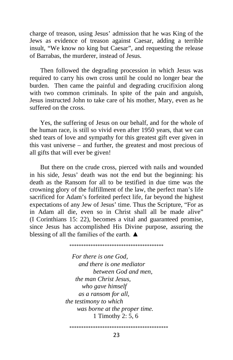charge of treason, using Jesus' admission that he was King of the Jews as evidence of treason against Caesar, adding a terrible insult, "We know no king but Caesar", and requesting the release of Barrabas, the murderer, instead of Jesus.

Then followed the degrading procession in which Jesus was required to carry his own cross until he could no longer bear the burden. Then came the painful and degrading crucifixion along with two common criminals. In spite of the pain and anguish, Jesus instructed John to take care of his mother, Mary, even as he suffered on the cross.

Yes, the suffering of Jesus on our behalf, and for the whole of the human race, is still so vivid even after 1950 years, that we can shed tears of love and sympathy for this greatest gift ever given in this vast universe – and further, the greatest and most precious of all gifts that will ever be given!

But there on the crude cross, pierced with nails and wounded in his side, Jesus' death was not the end but the beginning: his death as the Ransom for all to be testified in due time was the crowning glory of the fulfillment of the law, the perfect man's life sacrificed for Adam's forfeited perfect life, far beyond the highest expectations of any Jew of Jesus' time. Thus the Scripture, "For as in Adam all die, even so in Christ shall all be made alive" (I Corinthians 15: 22), becomes a vital and guaranteed promise, since Jesus has accomplished His Divine purpose, assuring the blessing of all the families of the earth.  $\triangle$ 

\*\*\*\*\*\*\*\*\*\*\*\*\*\*\*\*\*\*\*\*\*\*\*\*\*\*\*\*\*\*\*\*\*\*\*\*\*\*\*\*

*For there is one God, and there is one mediator between God and men, the man Christ Jesus, who gave himself as a ransom for all, the testimony to which was borne at the proper time.* 1 Timothy 2: 5, 6

\*\*\*\*\*\*\*\*\*\*\*\*\*\*\*\*\*\*\*\*\*\*\*\*\*\*\*\*\*\*\*\*\*\*\*\*\*\*\*\*\*\*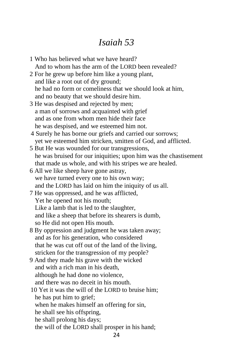# *Isaiah 53*

1 Who has believed what we have heard? And to whom has the arm of the LORD been revealed? 2 For he grew up before him like a young plant, and like a root out of dry ground; he had no form or comeliness that we should look at him, and no beauty that we should desire him. 3 He was despised and rejected by men; a man of sorrows and acquainted with grief and as one from whom men hide their face he was despised, and we esteemed him not. 4 Surely he has borne our griefs and carried our sorrows; yet we esteemed him stricken, smitten of God, and afflicted. 5 But He was wounded for our transgressions, he was bruised for our iniquities; upon him was the chastisement that made us whole, and with his stripes we are healed. 6 All we like sheep have gone astray, we have turned every one to his own way; and the LORD has laid on him the iniquity of us all. 7 He was oppressed, and he was afflicted, Yet he opened not his mouth; Like a lamb that is led to the slaughter, and like a sheep that before its shearers is dumb, so He did not open His mouth. 8 By oppression and judgment he was taken away; and as for his generation, who considered that he was cut off out of the land of the living, stricken for the transgression of my people? 9 And they made his grave with the wicked and with a rich man in his death, although he had done no violence, and there was no deceit in his mouth. 10 Yet it was the will of the LORD to bruise him; he has put him to grief; when he makes himself an offering for sin, he shall see his offspring, he shall prolong his days; the will of the LORD shall prosper in his hand; 24